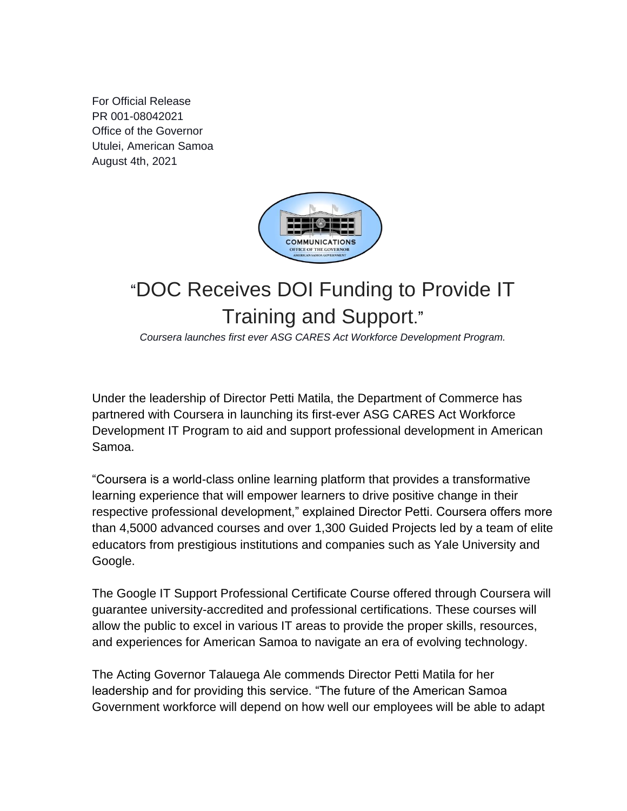For Official Release PR 001-08042021 Office of the Governor Utulei, American Samoa August 4th, 2021



## "DOC Receives DOI Funding to Provide IT Training and Support."

*Coursera launches first ever ASG CARES Act Workforce Development Program.*

Under the leadership of Director Petti Matila, the Department of Commerce has partnered with Coursera in launching its first-ever ASG CARES Act Workforce Development IT Program to aid and support professional development in American Samoa.

"Coursera is a world-class online learning platform that provides a transformative learning experience that will empower learners to drive positive change in their respective professional development," explained Director Petti. Coursera offers more than 4,5000 advanced courses and over 1,300 Guided Projects led by a team of elite educators from prestigious institutions and companies such as Yale University and Google.

The Google IT Support Professional Certificate Course offered through Coursera will guarantee university-accredited and professional certifications. These courses will allow the public to excel in various IT areas to provide the proper skills, resources, and experiences for American Samoa to navigate an era of evolving technology.

The Acting Governor Talauega Ale commends Director Petti Matila for her leadership and for providing this service. "The future of the American Samoa Government workforce will depend on how well our employees will be able to adapt